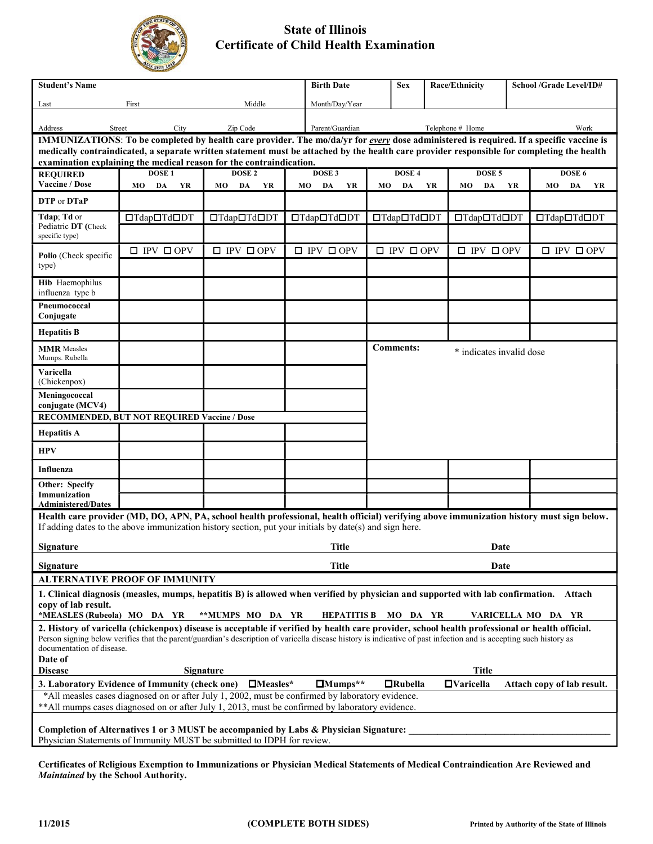

## State of Illinois Certificate of Child Health Examination

| <b>Student's Name</b>                                |                                                                                                                                                                                                                                                                                                                      |                                        | <b>Birth Date</b>           | <b>Sex</b>                  |    | Race/Ethnicity              | <b>School /Grade Level/ID#</b> |  |                             |  |
|------------------------------------------------------|----------------------------------------------------------------------------------------------------------------------------------------------------------------------------------------------------------------------------------------------------------------------------------------------------------------------|----------------------------------------|-----------------------------|-----------------------------|----|-----------------------------|--------------------------------|--|-----------------------------|--|
| Last                                                 | First                                                                                                                                                                                                                                                                                                                | Middle                                 | Month/Day/Year              |                             |    |                             |                                |  |                             |  |
| Address                                              | Street<br>City                                                                                                                                                                                                                                                                                                       | Zip Code                               | Parent/Guardian             |                             |    | Telephone # Home            | Work                           |  |                             |  |
|                                                      | IMMUNIZATIONS: To be completed by health care provider. The mo/da/yr for every dose administered is required. If a specific vaccine is                                                                                                                                                                               |                                        |                             |                             |    |                             |                                |  |                             |  |
|                                                      | medically contraindicated, a separate written statement must be attached by the health care provider responsible for completing the health<br>examination explaining the medical reason for the contraindication.                                                                                                    |                                        |                             |                             |    |                             |                                |  |                             |  |
| <b>REQUIRED</b>                                      | DOSE <sub>1</sub>                                                                                                                                                                                                                                                                                                    | DOSE <sub>2</sub>                      | DOSE 3                      | DOSE 4                      |    | DOSE <sub>5</sub>           | DOSE 6                         |  |                             |  |
| Vaccine / Dose                                       | DA YR<br>MO                                                                                                                                                                                                                                                                                                          | DA<br>YR<br>MO                         | MO<br>DA<br>YR              | MO<br>DA                    | YR | DA<br>MO<br><b>YR</b>       |                                |  | MO DA YR                    |  |
| DTP or DTaP                                          |                                                                                                                                                                                                                                                                                                                      |                                        |                             |                             |    |                             |                                |  |                             |  |
| Tdap; Td or<br>Pediatric DT (Check<br>specific type) | □Tdap□Td□DT                                                                                                                                                                                                                                                                                                          | □Tdap□Td□DT                            | □Tdap□Td□DT                 | □Tdap□Td□DT                 |    | □Tdap□Td□DT                 |                                |  | □Tdap□Td□DT                 |  |
| Polio (Check specific<br>type)                       | $\square$ IPV $\square$ OPV                                                                                                                                                                                                                                                                                          | $\square$ IPV $\square$ OPV            | $\square$ IPV $\square$ OPV | $\square$ IPV $\square$ OPV |    | $\square$ IPV $\square$ OPV |                                |  | $\square$ IPV $\square$ OPV |  |
| Hib Haemophilus<br>influenza type b                  |                                                                                                                                                                                                                                                                                                                      |                                        |                             |                             |    |                             |                                |  |                             |  |
| Pneumococcal<br>Conjugate                            |                                                                                                                                                                                                                                                                                                                      |                                        |                             |                             |    |                             |                                |  |                             |  |
| <b>Hepatitis B</b>                                   |                                                                                                                                                                                                                                                                                                                      |                                        |                             |                             |    |                             |                                |  |                             |  |
| <b>MMR</b> Measles<br>Mumps. Rubella                 |                                                                                                                                                                                                                                                                                                                      |                                        |                             | <b>Comments:</b>            |    | * indicates invalid dose    |                                |  |                             |  |
| Varicella<br>(Chickenpox)                            |                                                                                                                                                                                                                                                                                                                      |                                        |                             |                             |    |                             |                                |  |                             |  |
| Meningococcal<br>conjugate (MCV4)                    |                                                                                                                                                                                                                                                                                                                      |                                        |                             |                             |    |                             |                                |  |                             |  |
|                                                      | RECOMMENDED, BUT NOT REQUIRED Vaccine / Dose                                                                                                                                                                                                                                                                         |                                        |                             |                             |    |                             |                                |  |                             |  |
| <b>Hepatitis A</b>                                   |                                                                                                                                                                                                                                                                                                                      |                                        |                             |                             |    |                             |                                |  |                             |  |
| <b>HPV</b>                                           |                                                                                                                                                                                                                                                                                                                      |                                        |                             |                             |    |                             |                                |  |                             |  |
| Influenza                                            |                                                                                                                                                                                                                                                                                                                      |                                        |                             |                             |    |                             |                                |  |                             |  |
| Other: Specify<br>Immunization                       |                                                                                                                                                                                                                                                                                                                      |                                        |                             |                             |    |                             |                                |  |                             |  |
| <b>Administered/Dates</b>                            |                                                                                                                                                                                                                                                                                                                      |                                        |                             |                             |    |                             |                                |  |                             |  |
|                                                      | Health care provider (MD, DO, APN, PA, school health professional, health official) verifying above immunization history must sign below.<br>If adding dates to the above immunization history section, put your initials by date(s) and sign here.                                                                  |                                        |                             |                             |    |                             |                                |  |                             |  |
| Signature                                            |                                                                                                                                                                                                                                                                                                                      |                                        | <b>Title</b>                |                             |    | Date                        |                                |  |                             |  |
| Signature                                            |                                                                                                                                                                                                                                                                                                                      |                                        | <b>Title</b>                |                             |    | Date                        |                                |  |                             |  |
|                                                      | ALTERNATIVE PROOF OF IMMUNITY                                                                                                                                                                                                                                                                                        |                                        |                             |                             |    |                             |                                |  |                             |  |
| copy of lab result.<br>*MEASLES (Rubeola) MO DA YR   | 1. Clinical diagnosis (measles, mumps, hepatitis B) is allowed when verified by physician and supported with lab confirmation. Attach                                                                                                                                                                                | **MUMPS MO DA YR                       |                             | HEPATITIS B MO DA YR        |    | VARICELLA MO DA YR          |                                |  |                             |  |
| documentation of disease.                            | 2. History of varicella (chickenpox) disease is acceptable if verified by health care provider, school health professional or health official.<br>Person signing below verifies that the parent/guardian's description of varicella disease history is indicative of past infection and is accepting such history as |                                        |                             |                             |    |                             |                                |  |                             |  |
| Date of                                              |                                                                                                                                                                                                                                                                                                                      |                                        |                             |                             |    | <b>Title</b>                |                                |  |                             |  |
| <b>Disease</b>                                       | 3. Laboratory Evidence of Immunity (check one)                                                                                                                                                                                                                                                                       | <b>Signature</b><br>$\square$ Measles* | $\Box$ Mumps**              | $\Box$ Rubella              |    | $\Box$ Varicella            | Attach copy of lab result.     |  |                             |  |
|                                                      | *All measles cases diagnosed on or after July 1, 2002, must be confirmed by laboratory evidence.                                                                                                                                                                                                                     |                                        |                             |                             |    |                             |                                |  |                             |  |
|                                                      | ** All mumps cases diagnosed on or after July 1, 2013, must be confirmed by laboratory evidence.                                                                                                                                                                                                                     |                                        |                             |                             |    |                             |                                |  |                             |  |
|                                                      | Completion of Alternatives 1 or 3 MUST be accompanied by Labs & Physician Signature:                                                                                                                                                                                                                                 |                                        |                             |                             |    |                             |                                |  |                             |  |

Physician Statements of Immunity MUST be submitted to IDPH for review.

Certificates of Religious Exemption to Immunizations or Physician Medical Statements of Medical Contraindication Are Reviewed and Maintained by the School Authority.